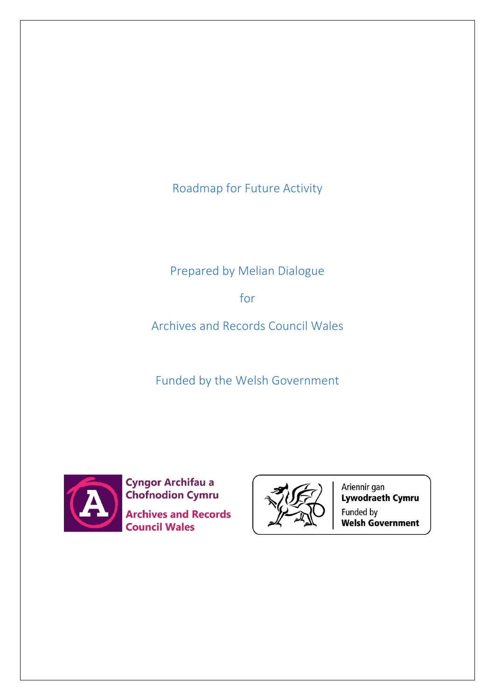Roadmap for Future Activity

# Prepared by Melian Dialogue

for

Archives and Records Council Wales

Funded by the Welsh Government



**Cyngor Archifau a Chofnodion Cymru Archives and Records Council Wales** 



Ariennir gan<br>**Lywodraeth Cymru** Funded by **Welsh Government**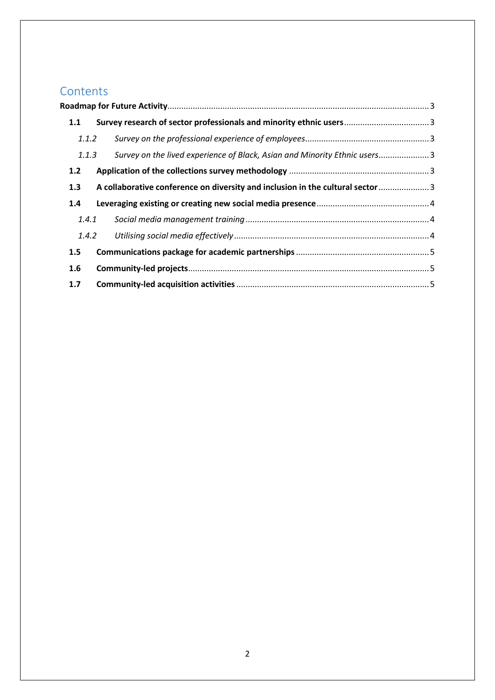# Contents<br>Roadmap for

| 1.1   |       |                                                                                 |  |
|-------|-------|---------------------------------------------------------------------------------|--|
| 1.1.2 |       |                                                                                 |  |
| 1.1.3 |       | Survey on the lived experience of Black, Asian and Minority Ethnic users3       |  |
| 1.2   |       |                                                                                 |  |
| 1.3   |       | A collaborative conference on diversity and inclusion in the cultural sector  3 |  |
| 1.4   |       |                                                                                 |  |
| 1.4.1 |       |                                                                                 |  |
|       | 1.4.2 |                                                                                 |  |
| 1.5   |       |                                                                                 |  |
| 1.6   |       |                                                                                 |  |
| 1.7   |       |                                                                                 |  |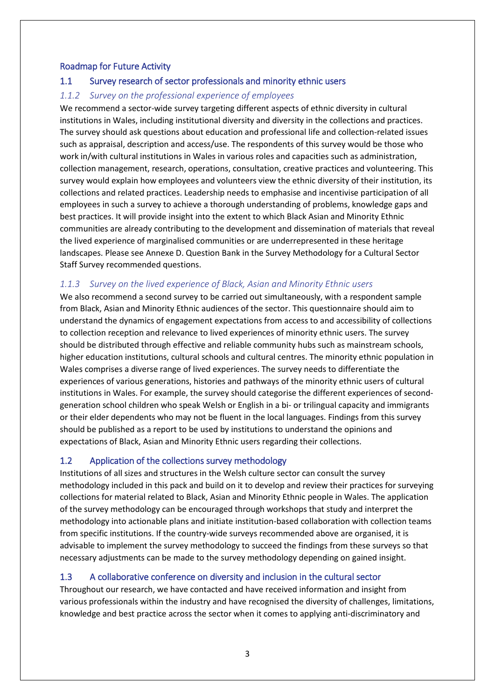#### <span id="page-2-0"></span>Roadmap for Future Activity

## <span id="page-2-1"></span>1.1 Survey research of sector professionals and minority ethnic users

#### <span id="page-2-2"></span>*1.1.2 Survey on the professional experience of employees*

We recommend a sector-wide survey targeting different aspects of ethnic diversity in cultural institutions in Wales, including institutional diversity and diversity in the collections and practices. The survey should ask questions about education and professional life and collection-related issues such as appraisal, description and access/use. The respondents of this survey would be those who work in/with cultural institutions in Wales in various roles and capacities such as administration, collection management, research, operations, consultation, creative practices and volunteering. This survey would explain how employees and volunteers view the ethnic diversity of their institution, its collections and related practices. Leadership needs to emphasise and incentivise participation of all employees in such a survey to achieve a thorough understanding of problems, knowledge gaps and best practices. It will provide insight into the extent to which Black Asian and Minority Ethnic communities are already contributing to the development and dissemination of materials that reveal the lived experience of marginalised communities or are underrepresented in these heritage landscapes. Please see Annexe D. Question Bank in the Survey Methodology for a Cultural Sector Staff Survey recommended questions.

## <span id="page-2-3"></span>*1.1.3 Survey on the lived experience of Black, Asian and Minority Ethnic users*

We also recommend a second survey to be carried out simultaneously, with a respondent sample from Black, Asian and Minority Ethnic audiences of the sector. This questionnaire should aim to understand the dynamics of engagement expectations from access to and accessibility of collections to collection reception and relevance to lived experiences of minority ethnic users. The survey should be distributed through effective and reliable community hubs such as mainstream schools, higher education institutions, cultural schools and cultural centres. The minority ethnic population in Wales comprises a diverse range of lived experiences. The survey needs to differentiate the experiences of various generations, histories and pathways of the minority ethnic users of cultural institutions in Wales. For example, the survey should categorise the different experiences of secondgeneration school children who speak Welsh or English in a bi- or trilingual capacity and immigrants or their elder dependents who may not be fluent in the local languages. Findings from this survey should be published as a report to be used by institutions to understand the opinions and expectations of Black, Asian and Minority Ethnic users regarding their collections.

## <span id="page-2-4"></span>1.2 Application of the collections survey methodology

Institutions of all sizes and structures in the Welsh culture sector can consult the survey methodology included in this pack and build on it to develop and review their practices for surveying collections for material related to Black, Asian and Minority Ethnic people in Wales. The application of the survey methodology can be encouraged through workshops that study and interpret the methodology into actionable plans and initiate institution-based collaboration with collection teams from specific institutions. If the country-wide surveys recommended above are organised, it is advisable to implement the survey methodology to succeed the findings from these surveys so that necessary adjustments can be made to the survey methodology depending on gained insight.

## <span id="page-2-5"></span>1.3 A collaborative conference on diversity and inclusion in the cultural sector

Throughout our research, we have contacted and have received information and insight from various professionals within the industry and have recognised the diversity of challenges, limitations, knowledge and best practice across the sector when it comes to applying anti-discriminatory and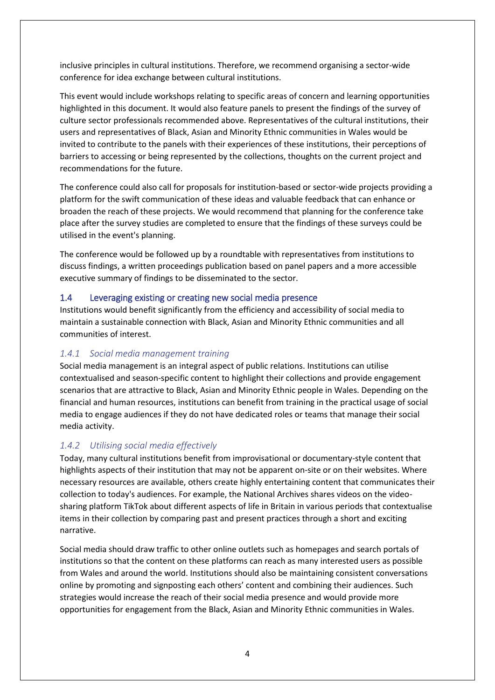inclusive principles in cultural institutions. Therefore, we recommend organising a sector-wide conference for idea exchange between cultural institutions.

This event would include workshops relating to specific areas of concern and learning opportunities highlighted in this document. It would also feature panels to present the findings of the survey of culture sector professionals recommended above. Representatives of the cultural institutions, their users and representatives of Black, Asian and Minority Ethnic communities in Wales would be invited to contribute to the panels with their experiences of these institutions, their perceptions of barriers to accessing or being represented by the collections, thoughts on the current project and recommendations for the future.

The conference could also call for proposals for institution-based or sector-wide projects providing a platform for the swift communication of these ideas and valuable feedback that can enhance or broaden the reach of these projects. We would recommend that planning for the conference take place after the survey studies are completed to ensure that the findings of these surveys could be utilised in the event's planning.

The conference would be followed up by a roundtable with representatives from institutions to discuss findings, a written proceedings publication based on panel papers and a more accessible executive summary of findings to be disseminated to the sector.

## <span id="page-3-0"></span>1.4 Leveraging existing or creating new social media presence

Institutions would benefit significantly from the efficiency and accessibility of social media to maintain a sustainable connection with Black, Asian and Minority Ethnic communities and all communities of interest.

#### <span id="page-3-1"></span>*1.4.1 Social media management training*

Social media management is an integral aspect of public relations. Institutions can utilise contextualised and season-specific content to highlight their collections and provide engagement scenarios that are attractive to Black, Asian and Minority Ethnic people in Wales. Depending on the financial and human resources, institutions can benefit from training in the practical usage of social media to engage audiences if they do not have dedicated roles or teams that manage their social media activity.

## <span id="page-3-2"></span>*1.4.2 Utilising social media effectively*

Today, many cultural institutions benefit from improvisational or documentary-style content that highlights aspects of their institution that may not be apparent on-site or on their websites. Where necessary resources are available, others create highly entertaining content that communicates their collection to today's audiences. For example, the National Archives shares videos on the videosharing platform TikTok about different aspects of life in Britain in various periods that contextualise items in their collection by comparing past and present practices through a short and exciting narrative.

Social media should draw traffic to other online outlets such as homepages and search portals of institutions so that the content on these platforms can reach as many interested users as possible from Wales and around the world. Institutions should also be maintaining consistent conversations online by promoting and signposting each others' content and combining their audiences. Such strategies would increase the reach of their social media presence and would provide more opportunities for engagement from the Black, Asian and Minority Ethnic communities in Wales.